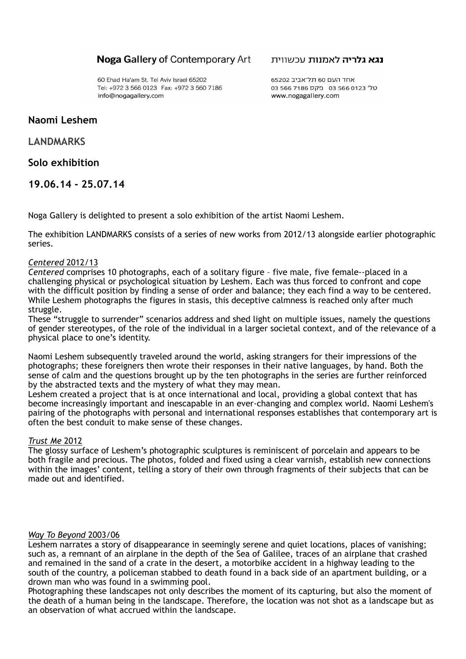## **Noga Gallery of Contemporary Art**

60 Ehad Ha'am St. Tel Aviv Israel 65202 Tel: +972 3 566 0123 Fax: +972 3 560 7186 info@nogagallery.com

#### **נגא גלריה לאמנות** עכשווית

אחד העם 60 תל־אביב 65202 03 566 7186 01 בקס 566 7186 www.nogagallery.com

# **Naomi Leshem**

# **LANDMARKS**

# **Solo exhibition**

**19.06.14 - 25.07.14**

Noga Gallery is delighted to present a solo exhibition of the artist Naomi Leshem.

The exhibition LANDMARKS consists of a series of new works from 2012/13 alongside earlier photographic series.

### *Centered* 2012/13

*Centered* comprises 10 photographs, each of a solitary figure – five male, five female--placed in a challenging physical or psychological situation by Leshem. Each was thus forced to confront and cope with the difficult position by finding a sense of order and balance; they each find a way to be centered. While Leshem photographs the figures in stasis, this deceptive calmness is reached only after much struggle.

These "struggle to surrender" scenarios address and shed light on multiple issues, namely the questions of gender stereotypes, of the role of the individual in a larger societal context, and of the relevance of a physical place to one's identity.

Naomi Leshem subsequently traveled around the world, asking strangers for their impressions of the photographs; these foreigners then wrote their responses in their native languages, by hand. Both the sense of calm and the questions brought up by the ten photographs in the series are further reinforced by the abstracted texts and the mystery of what they may mean.

Leshem created a project that is at once international and local, providing a global context that has become increasingly important and inescapable in an ever-changing and complex world. Naomi Leshem's pairing of the photographs with personal and international responses establishes that contemporary art is often the best conduit to make sense of these changes.

### *Trust Me* 2012

The glossy surface of Leshem's photographic sculptures is reminiscent of porcelain and appears to be both fragile and precious. The photos, folded and fixed using a clear varnish, establish new connections within the images' content, telling a story of their own through fragments of their subjects that can be made out and identified.

### *Way To Beyond* 2003/06

Leshem narrates a story of disappearance in seemingly serene and quiet locations, places of vanishing; such as, a remnant of an airplane in the depth of the Sea of Galilee, traces of an airplane that crashed and remained in the sand of a crate in the desert, a motorbike accident in a highway leading to the south of the country, a policeman stabbed to death found in a back side of an apartment building, or a drown man who was found in a swimming pool.

Photographing these landscapes not only describes the moment of its capturing, but also the moment of the death of a human being in the landscape. Therefore, the location was not shot as a landscape but as an observation of what accrued within the landscape.